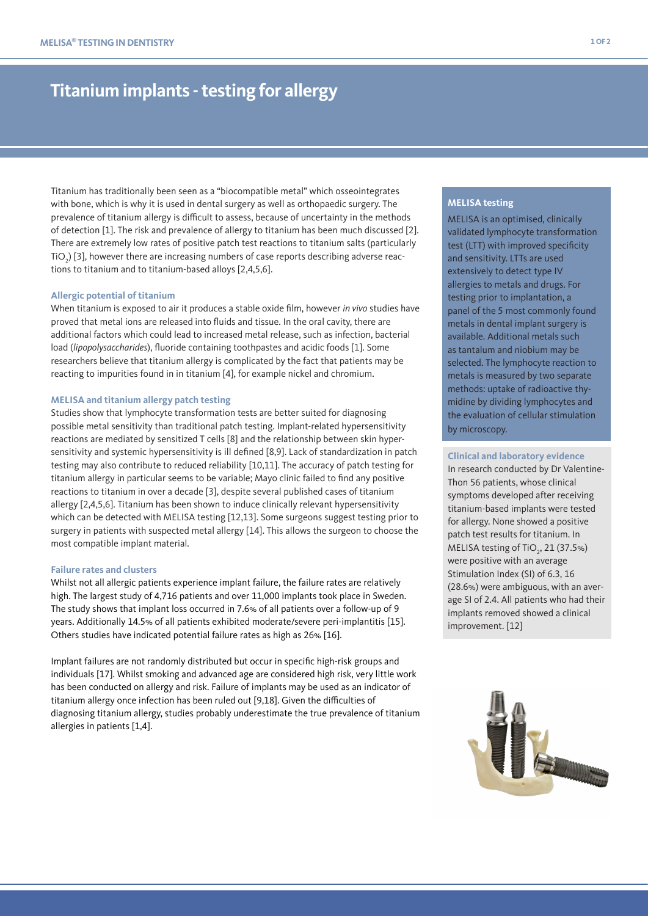# **Titanium implants - testing for allergy**

Titanium has traditionally been seen as a "biocompatible metal" which osseointegrates with bone, which is why it is used in dental surgery as well as orthopaedic surgery. The prevalence of titanium allergy is difficult to assess, because of uncertainty in the methods of detection [1]. The risk and prevalence of allergy to titanium has been much discussed [2]. There are extremely low rates of positive patch test reactions to titanium salts (particularly TiO $_{2}$ ) [3], however there are increasing numbers of case reports describing adverse reactions to titanium and to titanium-based alloys [2,4,5,6].

## **Allergic potential of titanium**

When titanium is exposed to air it produces a stable oxide film, however *in vivo* studies have proved that metal ions are released into fluids and tissue. In the oral cavity, there are additional factors which could lead to increased metal release, such as infection, bacterial load (*lipopolysaccharides*), fluoride containing toothpastes and acidic foods [1]. Some researchers believe that titanium allergy is complicated by the fact that patients may be reacting to impurities found in in titanium [4], for example nickel and chromium.

## **MELISA and titanium allergy patch testing**

Studies show that lymphocyte transformation tests are better suited for diagnosing possible metal sensitivity than traditional patch testing. Implant-related hypersensitivity reactions are mediated by sensitized T cells [8] and the relationship between skin hypersensitivity and systemic hypersensitivity is ill defined [8,9]. Lack of standardization in patch testing may also contribute to reduced reliability [10,11]. The accuracy of patch testing for titanium allergy in particular seems to be variable; Mayo clinic failed to find any positive reactions to titanium in over a decade [3], despite several published cases of titanium allergy [2,4,5,6]. Titanium has been shown to induce clinically relevant hypersensitivity which can be detected with MELISA testing [12,13]. Some surgeons suggest testing prior to surgery in patients with suspected metal allergy [14]. This allows the surgeon to choose the most compatible implant material.

#### **Failure rates and clusters**

Whilst not all allergic patients experience implant failure, the failure rates are relatively high. The largest study of 4,716 patients and over 11,000 implants took place in Sweden. The study shows that implant loss occurred in 7.6% of all patients over a follow-up of 9 years. Additionally 14.5% of all patients exhibited moderate/severe peri-implantitis [15]. Others studies have indicated potential failure rates as high as 26% [16].

Implant failures are not randomly distributed but occur in specific high-risk groups and individuals [17]. Whilst smoking and advanced age are considered high risk, very little work has been conducted on allergy and risk. Failure of implants may be used as an indicator of titanium allergy once infection has been ruled out [9,18]. Given the difficulties of diagnosing titanium allergy, studies probably underestimate the true prevalence of titanium allergies in patients [1,4].

#### **MELISA testing**

MELISA is an optimised, clinically validated lymphocyte transformation test (LTT) with improved specificity and sensitivity. LTTs are used extensively to detect type IV allergies to metals and drugs. For testing prior to implantation, a panel of the 5 most commonly found metals in dental implant surgery is available. Additional metals such as tantalum and niobium may be selected. The lymphocyte reaction to metals is measured by two separate methods: uptake of radioactive thymidine by dividing lymphocytes and the evaluation of cellular stimulation by microscopy.

#### **Clinical and laboratory evidence**

In research conducted by Dr Valentine-Thon 56 patients, whose clinical symptoms developed after receiving titanium-based implants were tested for allergy. None showed a positive patch test results for titanium. In MELISA testing of TiO<sub>2</sub>, 21 (37.5%) were positive with an average Stimulation Index (SI) of 6.3, 16 (28.6%) were ambiguous, with an average SI of 2.4. All patients who had their implants removed showed a clinical improvement. [12]